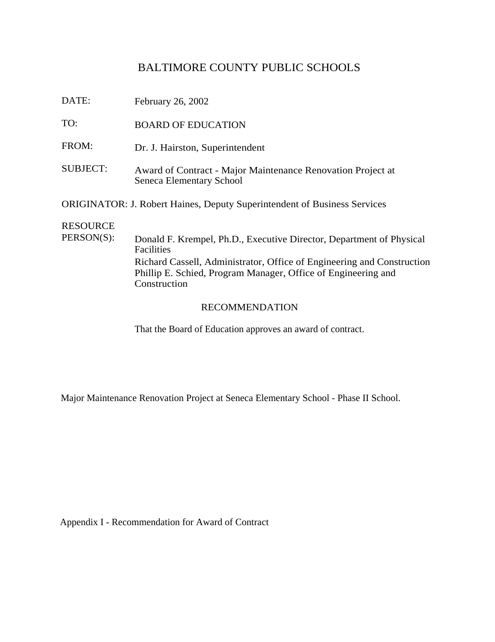# BALTIMORE COUNTY PUBLIC SCHOOLS

| DATE: | February 26, 2002         |
|-------|---------------------------|
| TO:   | <b>BOARD OF EDUCATION</b> |

- FROM: Dr. J. Hairston, Superintendent
- SUBJECT: Award of Contract Major Maintenance Renovation Project at Seneca Elementary School

ORIGINATOR: J. Robert Haines, Deputy Superintendent of Business Services

## RESOURCE

PERSON(S): Donald F. Krempel, Ph.D., Executive Director, Department of Physical Facilities Richard Cassell, Administrator, Office of Engineering and Construction Phillip E. Schied, Program Manager, Office of Engineering and Construction

#### RECOMMENDATION

That the Board of Education approves an award of contract.

Major Maintenance Renovation Project at Seneca Elementary School - Phase II School.

Appendix I - Recommendation for Award of Contract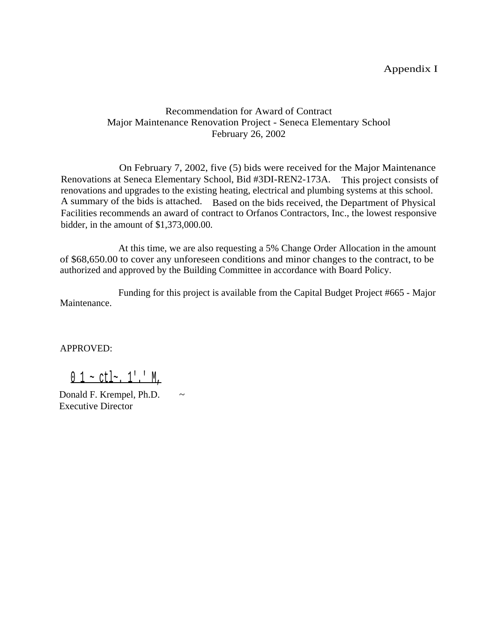## Appendix I

## Recommendation for Award of Contract Major Maintenance Renovation Project - Seneca Elementary School February 26, 2002

On February 7, 2002, five (5) bids were received for the Major Maintenance Renovations at Seneca Elementary School, Bid #3DI-REN2-173A. This project consists of renovations and upgrades to the existing heating, electrical and plumbing systems at this school. A summary of the bids is attached. Based on the bids received, the Department of Physical Facilities recommends an award of contract to Orfanos Contractors, Inc., the lowest responsive bidder, in the amount of \$1,373,000.00.

At this time, we are also requesting a 5% Change Order Allocation in the amount of \$68,650.00 to cover any unforeseen conditions and minor changes to the contract, to be authorized and approved by the Building Committee in accordance with Board Policy.

Maintenance. Funding for this project is available from the Capital Budget Project #665 - Major

APPROVED:

 $0$  1 ~ ctl~. 1'.' M,

Donald F. Krempel, Ph.D.  $\sim$ Executive Director